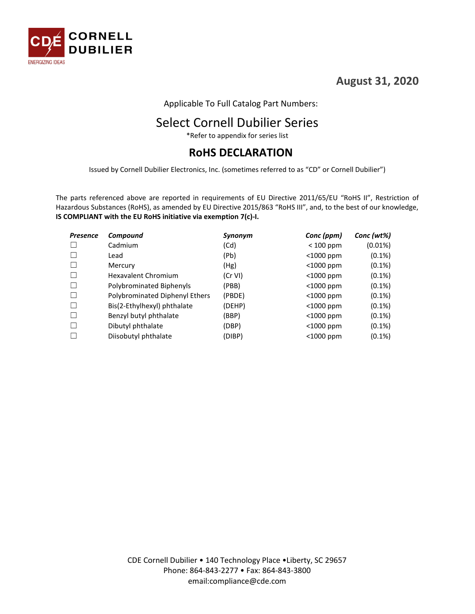

**August 31, 2020**

Applicable To Full Catalog Part Numbers:

# Select Cornell Dubilier Series

\*Refer to appendix for series list

### **RoHS DECLARATION**

Issued by Cornell Dubilier Electronics, Inc. (sometimes referred to as "CD" or Cornell Dubilier")

The parts referenced above are reported in requirements of EU Directive 2011/65/EU "RoHS II", Restriction of Hazardous Substances (RoHS), as amended by EU Directive 2015/863 "RoHS III", and, to the best of our knowledge, **IS COMPLIANT with the EU RoHS initiative via exemption 7(c)-I.**

| <b>Presence</b> | Compound                       | Synonym | Conc (ppm)   | Conc (wt%) |
|-----------------|--------------------------------|---------|--------------|------------|
|                 | Cadmium                        | (Cd)    | $< 100$ ppm  | $(0.01\%)$ |
|                 | Lead                           | (Pb)    | $<$ 1000 ppm | $(0.1\%)$  |
|                 | Mercury                        | (Hg)    | $<$ 1000 ppm | $(0.1\%)$  |
|                 | Hexavalent Chromium            | (Cr VI) | <1000 ppm    | $(0.1\%)$  |
|                 | Polybrominated Biphenyls       | (PBB)   | $<$ 1000 ppm | $(0.1\%)$  |
|                 | Polybrominated Diphenyl Ethers | (PBDE)  | <1000 ppm    | $(0.1\%)$  |
|                 | Bis(2-Ethylhexyl) phthalate    | (DEHP)  | $<$ 1000 ppm | $(0.1\%)$  |
|                 | Benzyl butyl phthalate         | (BBP)   | $<$ 1000 ppm | $(0.1\%)$  |
|                 | Dibutyl phthalate              | (DBP)   | $<$ 1000 ppm | $(0.1\%)$  |
|                 | Diisobutyl phthalate           | (DIBP)  | $<$ 1000 ppm | $(0.1\%)$  |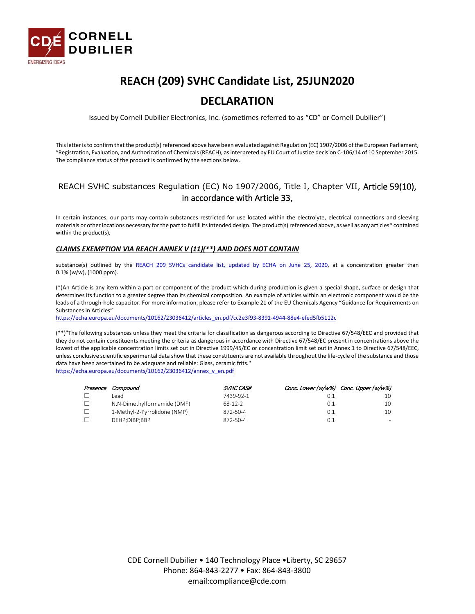

# **REACH (209) SVHC Candidate List, 25JUN2020**

#### **DECLARATION**

Issued by Cornell Dubilier Electronics, Inc. (sometimes referred to as "CD" or Cornell Dubilier")

This letter is to confirm that the product(s) referenced above have been evaluated against Regulation (EC) 1907/2006 of the European Parliament, "Registration, Evaluation, and Authorization of Chemicals (REACH), as interpreted by EU Court of Justice decision C-106/14 of 10 September 2015. The compliance status of the product is confirmed by the sections below.

#### REACH SVHC substances Regulation (EC) No 1907/2006, Title I, Chapter VII, Article 59(10), in accordance with Article 33,

In certain instances, our parts may contain substances restricted for use located within the electrolyte, electrical connections and sleeving materials or other locations necessary for the part to fulfill its intended design. The product(s) referenced above, as well as any articles\* contained within the product(s),

#### *CLAIMS EXEMPTION VIA REACH ANNEX V (11)(\*\*) AND DOES NOT CONTAIN*

substance(s) outlined by the [REACH 209 SVHCs candidate list, updated by ECHA on June 25, 2020,](https://www.echa.europa.eu/candidate-list-table) at a concentration greater than 0.1% (w/w), (1000 ppm).

(\*)An Article is any item within a part or component of the product which during production is given a special shape, surface or design that determines its function to a greater degree than its chemical composition. An example of articles within an electronic component would be the leads of a through-hole capacitor. For more information, please refer to Example 21 of the EU Chemicals Agency "Guidance for Requirements on Substances in Articles"

[https://echa.europa.eu/documents/10162/23036412/articles\\_en.pdf/cc2e3f93-8391-4944-88e4-efed5fb5112c](https://echa.europa.eu/documents/10162/23036412/articles_en.pdf/cc2e3f93-8391-4944-88e4-efed5fb5112c)

(\*\*)"The following substances unless they meet the criteria for classification as dangerous according to Directive 67/548/EEC and provided that they do not contain constituents meeting the criteria as dangerous in accordance with Directive 67/548/EC present in concentrations above the lowest of the applicable concentration limits set out in Directive 1999/45/EC or concentration limit set out in Annex 1 to Directive 67/548/EEC, unless conclusive scientific experimental data show that these constituents are not available throughout the life-cycle of the substance and those data have been ascertained to be adequate and reliable: Glass, ceramic frits." [https://echa.europa.eu/documents/10162/23036412/annex\\_v\\_en.pdf](https://echa.europa.eu/documents/10162/23036412/annex_v_en.pdf)

| Presence Compound            | SVHC CAS#     |     | Conc. Lower (w/w%) Conc. Upper (w/w%) |
|------------------------------|---------------|-----|---------------------------------------|
| l ead.                       | 7439-92-1     |     | 10                                    |
| N,N-Dimethylformamide (DMF)  | $68 - 12 - 2$ | 0.1 | 10                                    |
| 1-Methyl-2-Pyrrolidone (NMP) | 872-50-4      | 0.7 | 10                                    |
| DEHP;DIBP;BBP                | 872-50-4      | 0.1 | -                                     |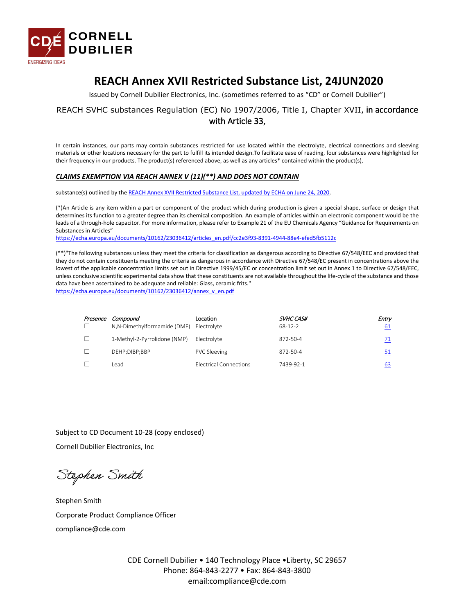

### **REACH Annex XVII Restricted Substance List, 24JUN2020**

Issued by Cornell Dubilier Electronics, Inc. (sometimes referred to as "CD" or Cornell Dubilier")

#### REACH SVHC substances Regulation (EC) No 1907/2006, Title I, Chapter XVII, in accordance with Article 33,

In certain instances, our parts may contain substances restricted for use located within the electrolyte, electrical connections and sleeving materials or other locations necessary for the part to fulfill its intended design.To facilitate ease of reading, four substances were highlighted for their frequency in our products. The product(s) referenced above, as well as any articles\* contained within the product(s),

#### *CLAIMS EXEMPTION VIA REACH ANNEX V (11)(\*\*) AND DOES NOT CONTAIN*

substance(s) outlined by the REACH Annex XVII Restricted Substance List, updated by ECHA on June 24, 2020.

(\*)An Article is any item within a part or component of the product which during production is given a special shape, surface or design that determines its function to a greater degree than its chemical composition. An example of articles within an electronic component would be the leads of a through-hole capacitor. For more information, please refer to Example 21 of the EU Chemicals Agency "Guidance for Requirements on Substances in Articles"

[https://echa.europa.eu/documents/10162/23036412/articles\\_en.pdf/cc2e3f93-8391-4944-88e4-efed5fb5112c](https://echa.europa.eu/documents/10162/23036412/articles_en.pdf/cc2e3f93-8391-4944-88e4-efed5fb5112c)

(\*\*)"The following substances unless they meet the criteria for classification as dangerous according to Directive 67/548/EEC and provided that they do not contain constituents meeting the criteria as dangerous in accordance with Directive 67/548/EC present in concentrations above the lowest of the applicable concentration limits set out in Directive 1999/45/EC or concentration limit set out in Annex 1 to Directive 67/548/EEC, unless conclusive scientific experimental data show that these constituents are not available throughout the life-cycle of the substance and those data have been ascertained to be adequate and reliable: Glass, ceramic frits."

[https://echa.europa.eu/documents/10162/23036412/annex\\_v\\_en.pdf](https://echa.europa.eu/documents/10162/23036412/annex_v_en.pdf)

| Presence | Compound<br>N,N-Dimethylformamide (DMF) Electrolyte | Location                      | SVHC CAS#<br>$68-12-2$ | Entry<br>61 |
|----------|-----------------------------------------------------|-------------------------------|------------------------|-------------|
| П        | 1-Methyl-2-Pyrrolidone (NMP)                        | Electrolyte                   | 872-50-4               |             |
| г        | DEHP;DIBP;BBP                                       | <b>PVC Sleeving</b>           | 872-50-4               | 51          |
|          | lead                                                | <b>Electrical Connections</b> | 7439-92-1              | 63          |

Subject to CD Document 10-28 (copy enclosed) Cornell Dubilier Electronics, Inc

Stephen Smith

Stephen Smith Corporate Product Compliance Officer compliance@cde.com

> CDE Cornell Dubilier • 140 Technology Place •Liberty, SC 29657 Phone: 864-843-2277 • Fax: 864-843-3800 email:compliance@cde.com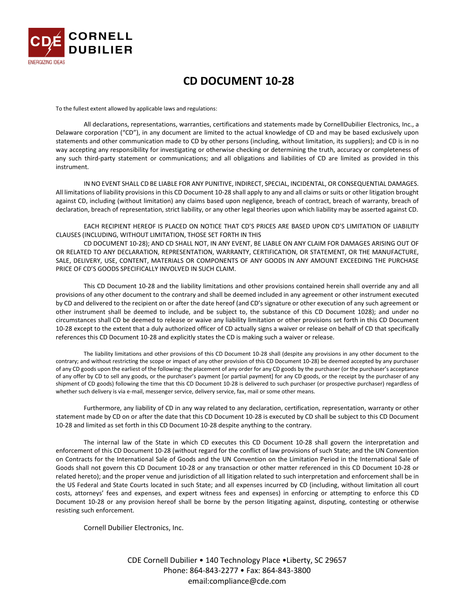

#### *0B***CD DOCUMENT 10-28**

To the fullest extent allowed by applicable laws and regulations:

All declarations, representations, warranties, certifications and statements made by CornellDubilier Electronics, Inc., a Delaware corporation ("CD"), in any document are limited to the actual knowledge of CD and may be based exclusively upon statements and other communication made to CD by other persons (including, without limitation, its suppliers); and CD is in no way accepting any responsibility for investigating or otherwise checking or determining the truth, accuracy or completeness of any such third-party statement or communications; and all obligations and liabilities of CD are limited as provided in this instrument.

IN NO EVENT SHALL CD BE LIABLE FOR ANY PUNITIVE, INDIRECT, SPECIAL, INCIDENTAL, OR CONSEQUENTIAL DAMAGES. All limitations of liability provisions in this CD Document 10-28 shall apply to any and all claims or suits or other litigation brought against CD, including (without limitation) any claims based upon negligence, breach of contract, breach of warranty, breach of declaration, breach of representation, strict liability, or any other legal theories upon which liability may be asserted against CD.

EACH RECIPIENT HEREOF IS PLACED ON NOTICE THAT CD'S PRICES ARE BASED UPON CD'S LIMITATION OF LIABILITY CLAUSES (INCLUDING, WITHOUT LIMITATION, THOSE SET FORTH IN THIS

CD DOCUMENT 10-28); AND CD SHALL NOT, IN ANY EVENT, BE LIABLE ON ANY CLAIM FOR DAMAGES ARISING OUT OF OR RELATED TO ANY DECLARATION, REPRESENTATION, WARRANTY, CERTIFICATION, OR STATEMENT, OR THE MANUFACTURE, SALE, DELIVERY, USE, CONTENT, MATERIALS OR COMPONENTS OF ANY GOODS IN ANY AMOUNT EXCEEDING THE PURCHASE PRICE OF CD'S GOODS SPECIFICALLY INVOLVED IN SUCH CLAIM.

This CD Document 10-28 and the liability limitations and other provisions contained herein shall override any and all provisions of any other document to the contrary and shall be deemed included in any agreement or other instrument executed by CD and delivered to the recipient on or after the date hereof (and CD's signature or other execution of any such agreement or other instrument shall be deemed to include, and be subject to, the substance of this CD Document 1028); and under no circumstances shall CD be deemed to release or waive any liability limitation or other provisions set forth in this CD Document 10-28 except to the extent that a duly authorized officer of CD actually signs a waiver or release on behalf of CD that specifically references this CD Document 10-28 and explicitly states the CD is making such a waiver or release.

The liability limitations and other provisions of this CD Document 10-28 shall (despite any provisions in any other document to the contrary; and without restricting the scope or impact of any other provision of this CD Document 10-28) be deemed accepted by any purchaser of any CD goods upon the earliest of the following: the placement of any order for any CD goods by the purchaser (or the purchaser's acceptance of any offer by CD to sell any goods, or the purchaser's payment [or partial payment] for any CD goods, or the receipt by the purchaser of any shipment of CD goods) following the time that this CD Document 10-28 is delivered to such purchaser (or prospective purchaser) regardless of whether such delivery is via e-mail, messenger service, delivery service, fax, mail or some other means.

Furthermore, any liability of CD in any way related to any declaration, certification, representation, warranty or other statement made by CD on or after the date that this CD Document 10-28 is executed by CD shall be subject to this CD Document 10-28 and limited as set forth in this CD Document 10-28 despite anything to the contrary.

The internal law of the State in which CD executes this CD Document 10-28 shall govern the interpretation and enforcement of this CD Document 10-28 (without regard for the conflict of law provisions of such State; and the UN Convention on Contracts for the International Sale of Goods and the UN Convention on the Limitation Period in the International Sale of Goods shall not govern this CD Document 10-28 or any transaction or other matter referenced in this CD Document 10-28 or related hereto); and the proper venue and jurisdiction of all litigation related to such interpretation and enforcement shall be in the US Federal and State Courts located in such State; and all expenses incurred by CD (including, without limitation all court costs, attorneys' fees and expenses, and expert witness fees and expenses) in enforcing or attempting to enforce this CD Document 10-28 or any provision hereof shall be borne by the person litigating against, disputing, contesting or otherwise resisting such enforcement.

Cornell Dubilier Electronics, Inc.

CDE Cornell Dubilier • 140 Technology Place •Liberty, SC 29657 Phone: 864-843-2277 • Fax: 864-843-3800 email:compliance@cde.com